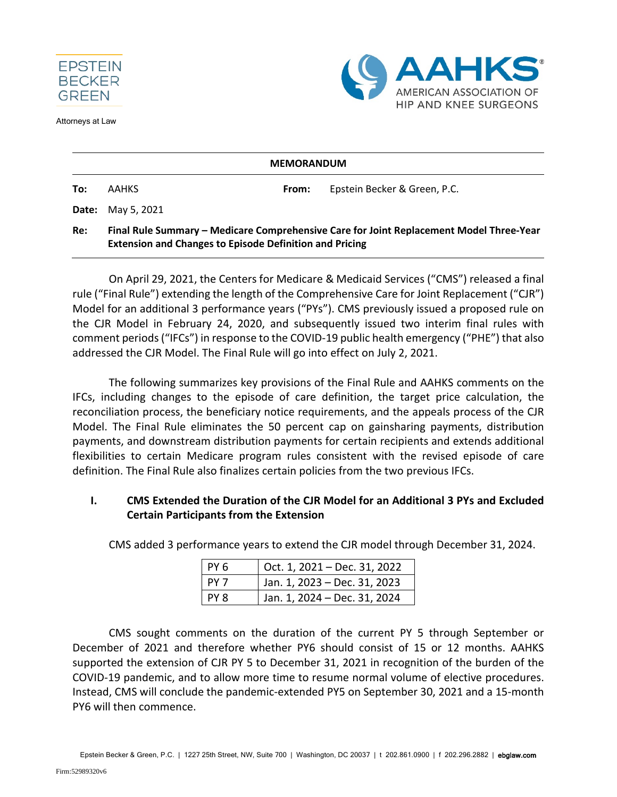

Attorneys at Law



| <b>MEMORANDUM</b> |                                                                                                                                                           |       |                              |  |  |
|-------------------|-----------------------------------------------------------------------------------------------------------------------------------------------------------|-------|------------------------------|--|--|
| To:               | <b>AAHKS</b>                                                                                                                                              | From: | Epstein Becker & Green, P.C. |  |  |
| Date:             | May 5, 2021                                                                                                                                               |       |                              |  |  |
| Re:               | Final Rule Summary – Medicare Comprehensive Care for Joint Replacement Model Three-Year<br><b>Extension and Changes to Episode Definition and Pricing</b> |       |                              |  |  |

On April 29, 2021, the Centers for Medicare & Medicaid Services ("CMS") released a final rule ("Final Rule") extending the length of the Comprehensive Care for Joint Replacement ("CJR") Model for an additional 3 performance years ("PYs"). CMS previously issued a proposed rule on the CJR Model in February 24, 2020, and subsequently issued two interim final rules with comment periods ("IFCs") in response to the COVID-19 public health emergency ("PHE") that also addressed the CJR Model. The Final Rule will go into effect on July 2, 2021.

The following summarizes key provisions of the Final Rule and AAHKS comments on the IFCs, including changes to the episode of care definition, the target price calculation, the reconciliation process, the beneficiary notice requirements, and the appeals process of the CJR Model. The Final Rule eliminates the 50 percent cap on gainsharing payments, distribution payments, and downstream distribution payments for certain recipients and extends additional flexibilities to certain Medicare program rules consistent with the revised episode of care definition. The Final Rule also finalizes certain policies from the two previous IFCs.

# **I. CMS Extended the Duration of the CJR Model for an Additional 3 PYs and Excluded Certain Participants from the Extension**

| PY6  | Oct. 1, 2021 – Dec. 31, 2022 |
|------|------------------------------|
| PY7  | Jan. 1, 2023 - Dec. 31, 2023 |
| PY 8 | Jan. 1, 2024 - Dec. 31, 2024 |

CMS added 3 performance years to extend the CJR model through December 31, 2024.

CMS sought comments on the duration of the current PY 5 through September or December of 2021 and therefore whether PY6 should consist of 15 or 12 months. AAHKS supported the extension of CJR PY 5 to December 31, 2021 in recognition of the burden of the COVID-19 pandemic, and to allow more time to resume normal volume of elective procedures. Instead, CMS will conclude the pandemic-extended PY5 on September 30, 2021 and a 15-month PY6 will then commence.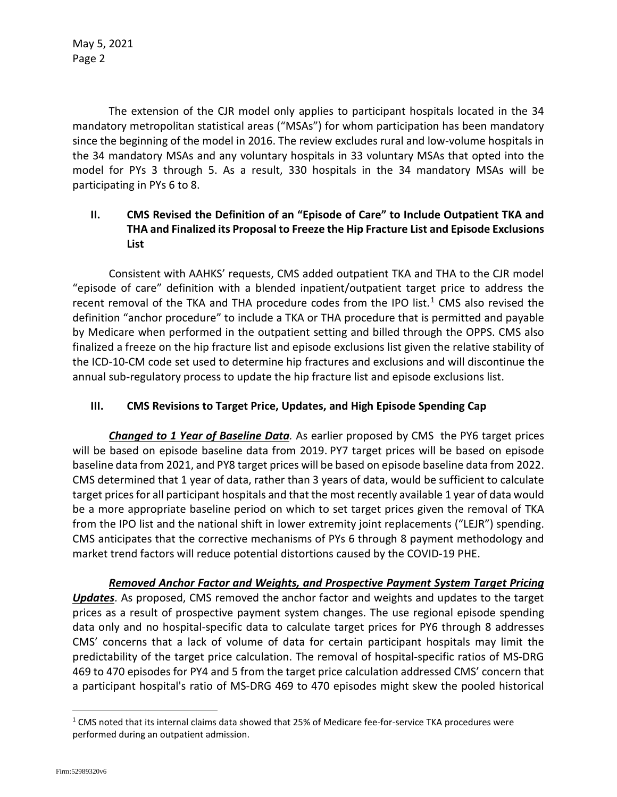May 5, 2021 Page 2

The extension of the CJR model only applies to participant hospitals located in the 34 mandatory metropolitan statistical areas ("MSAs") for whom participation has been mandatory since the beginning of the model in 2016. The review excludes rural and low-volume hospitals in the 34 mandatory MSAs and any voluntary hospitals in 33 voluntary MSAs that opted into the model for PYs 3 through 5. As a result, 330 hospitals in the 34 mandatory MSAs will be participating in PYs 6 to 8.

# **II. CMS Revised the Definition of an "Episode of Care" to Include Outpatient TKA and THA and Finalized its Proposal to Freeze the Hip Fracture List and Episode Exclusions List**

Consistent with AAHKS' requests, CMS added outpatient TKA and THA to the CJR model "episode of care" definition with a blended inpatient/outpatient target price to address the recent removal of the TKA and THA procedure codes from the IPO list.<sup>[1](#page-1-0)</sup> CMS also revised the definition "anchor procedure" to include a TKA or THA procedure that is permitted and payable by Medicare when performed in the outpatient setting and billed through the OPPS. CMS also finalized a freeze on the hip fracture list and episode exclusions list given the relative stability of the ICD-10-CM code set used to determine hip fractures and exclusions and will discontinue the annual sub-regulatory process to update the hip fracture list and episode exclusions list.

# **III. CMS Revisions to Target Price, Updates, and High Episode Spending Cap**

*Changed to 1 Year of Baseline Data.* As earlier proposed by CMS the PY6 target prices will be based on episode baseline data from 2019. PY7 target prices will be based on episode baseline data from 2021, and PY8 target prices will be based on episode baseline data from 2022. CMS determined that 1 year of data, rather than 3 years of data, would be sufficient to calculate target prices for all participant hospitals and that the most recently available 1 year of data would be a more appropriate baseline period on which to set target prices given the removal of TKA from the IPO list and the national shift in lower extremity joint replacements ("LEJR") spending. CMS anticipates that the corrective mechanisms of PYs 6 through 8 payment methodology and market trend factors will reduce potential distortions caused by the COVID-19 PHE.

*Removed Anchor Factor and Weights, and Prospective Payment System Target Pricing Updates*. As proposed, CMS removed the anchor factor and weights and updates to the target prices as a result of prospective payment system changes. The use regional episode spending data only and no hospital-specific data to calculate target prices for PY6 through 8 addresses CMS' concerns that a lack of volume of data for certain participant hospitals may limit the predictability of the target price calculation. The removal of hospital-specific ratios of MS-DRG 469 to 470 episodes for PY4 and 5 from the target price calculation addressed CMS' concern that a participant hospital's ratio of MS-DRG 469 to 470 episodes might skew the pooled historical

<span id="page-1-0"></span><sup>&</sup>lt;sup>1</sup> CMS noted that its internal claims data showed that 25% of Medicare fee-for-service TKA procedures were performed during an outpatient admission.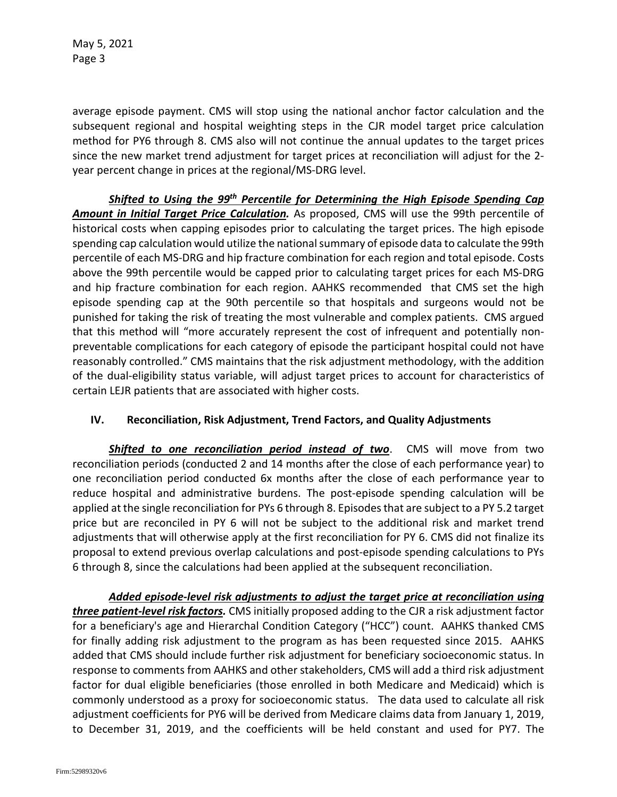May 5, 2021 Page 3

average episode payment. CMS will stop using the national anchor factor calculation and the subsequent regional and hospital weighting steps in the CJR model target price calculation method for PY6 through 8. CMS also will not continue the annual updates to the target prices since the new market trend adjustment for target prices at reconciliation will adjust for the 2 year percent change in prices at the regional/MS-DRG level.

*Shifted to Using the 99th Percentile for Determining the High Episode Spending Cap Amount in Initial Target Price Calculation.* As proposed, CMS will use the 99th percentile of historical costs when capping episodes prior to calculating the target prices. The high episode spending cap calculation would utilize the national summary of episode data to calculate the 99th percentile of each MS-DRG and hip fracture combination for each region and total episode. Costs above the 99th percentile would be capped prior to calculating target prices for each MS-DRG and hip fracture combination for each region. AAHKS recommended that CMS set the high episode spending cap at the 90th percentile so that hospitals and surgeons would not be punished for taking the risk of treating the most vulnerable and complex patients. CMS argued that this method will "more accurately represent the cost of infrequent and potentially nonpreventable complications for each category of episode the participant hospital could not have reasonably controlled." CMS maintains that the risk adjustment methodology, with the addition of the dual-eligibility status variable, will adjust target prices to account for characteristics of certain LEJR patients that are associated with higher costs.

# **IV. Reconciliation, Risk Adjustment, Trend Factors, and Quality Adjustments**

*Shifted to one reconciliation period instead of two*. CMS will move from two reconciliation periods (conducted 2 and 14 months after the close of each performance year) to one reconciliation period conducted 6x months after the close of each performance year to reduce hospital and administrative burdens. The post-episode spending calculation will be applied at the single reconciliation for PYs 6 through 8. Episodes that are subject to a PY 5.2 target price but are reconciled in PY 6 will not be subject to the additional risk and market trend adjustments that will otherwise apply at the first reconciliation for PY 6. CMS did not finalize its proposal to extend previous overlap calculations and post-episode spending calculations to PYs 6 through 8, since the calculations had been applied at the subsequent reconciliation.

*Added episode-level risk adjustments to adjust the target price at reconciliation using three patient-level risk factors.* CMS initially proposed adding to the CJR a risk adjustment factor for a beneficiary's age and Hierarchal Condition Category ("HCC") count. AAHKS thanked CMS for finally adding risk adjustment to the program as has been requested since 2015. AAHKS added that CMS should include further risk adjustment for beneficiary socioeconomic status. In response to comments from AAHKS and other stakeholders, CMS will add a third risk adjustment factor for dual eligible beneficiaries (those enrolled in both Medicare and Medicaid) which is commonly understood as a proxy for socioeconomic status. The data used to calculate all risk adjustment coefficients for PY6 will be derived from Medicare claims data from January 1, 2019, to December 31, 2019, and the coefficients will be held constant and used for PY7. The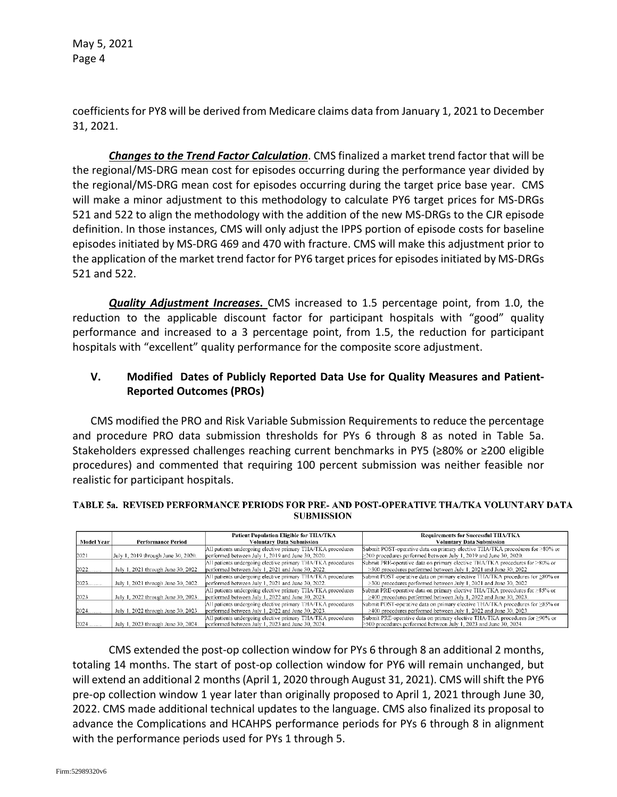May 5, 2021 Page 4

coefficients for PY8 will be derived from Medicare claims data from January 1, 2021 to December 31, 2021.

*Changes to the Trend Factor Calculation*. CMS finalized a market trend factor that will be the regional/MS-DRG mean cost for episodes occurring during the performance year divided by the regional/MS-DRG mean cost for episodes occurring during the target price base year. CMS will make a minor adjustment to this methodology to calculate PY6 target prices for MS-DRGs 521 and 522 to align the methodology with the addition of the new MS-DRGs to the CJR episode definition. In those instances, CMS will only adjust the IPPS portion of episode costs for baseline episodes initiated by MS-DRG 469 and 470 with fracture. CMS will make this adjustment prior to the application of the market trend factor for PY6 target prices for episodes initiated by MS-DRGs 521 and 522.

*Quality Adjustment Increases***.** CMS increased to 1.5 percentage point, from 1.0, the reduction to the applicable discount factor for participant hospitals with "good" quality performance and increased to a 3 percentage point, from 1.5, the reduction for participant hospitals with "excellent" quality performance for the composite score adjustment.

# **V. Modified Dates of Publicly Reported Data Use for Quality Measures and Patient-Reported Outcomes (PROs)**

CMS modified the PRO and Risk Variable Submission Requirements to reduce the percentage and procedure PRO data submission thresholds for PYs 6 through 8 as noted in Table 5a. Stakeholders expressed challenges reaching current benchmarks in PY5 (≥80% or ≥200 eligible procedures) and commented that requiring 100 percent submission was neither feasible nor realistic for participant hospitals.

#### TABLE 5a. REVISED PERFORMANCE PERIODS FOR PRE- AND POST-OPERATIVE THA/TKA VOLUNTARY DATA **SUBMISSION**

|            |                                     | Patient Population Eligible for THA/TKA                     | Requirements for Successful THA/TKA                                            |
|------------|-------------------------------------|-------------------------------------------------------------|--------------------------------------------------------------------------------|
| Model Year | <b>Performance Period</b>           | Voluntary Data Submission                                   | <b>Voluntary Data Submission</b>                                               |
|            |                                     | All patients undergoing elective primary THA/TKA procedures | Submit POST-operative data on primary elective TIIA/TKA procedures for >80% or |
| 2021       | July 1, 2019 through June 30, 2020. | performed between July 1, 2019 and June 30, 2020.           | $\geq$ 200 procedures performed between July 1, 2019 and June 30, 2020.        |
|            |                                     | All patients undergoing elective primary THA/TKA procedures | Bubmit PRE-operative data on primary elective THA/TKA procedures for >80% or   |
| 2022       | July 1, 2021 through June 30, 2022. | performed between July 1, 2021 and June 30, 2022.           | $\geq$ 300 procedures performed between July 1, 2021 and June 30, 2022.        |
|            |                                     | All patients undergoing elective primary THA/TKA procedures | Submit POST-operative data on primary elective THA/TKA procedures for ≥80% or  |
| 2023       | July 1, 2021 through June 30, 2022. | performed between July 1, 2021 and June 30, 2022.           | $\geq$ 300 procedures performed between July 1, 2021 and June 30, 2022         |
|            |                                     | All patients undergoing elective primary THA/TKA procedures | Submit PRE-operative data on primary elective THA/TKA procedures for ≥85% or   |
| 2023       | July 1, 2022 through June 30, 2023. | performed between July 1, 2022 and June 30, 2023.           | $\geq$ 400 procedures performed between July 1, 2022 and June 30, 2023.        |
|            |                                     | All patients undergoing elective primary THA/TKA procedures | Submit POST-operative data on primary elective THA/TKA procedures for >85% or  |
| 2024       | July 1, 2022 through June 30, 2023. | performed between July 1, 2022 and June 30, 2023.           | $\geq$ 400 procedures performed between July 1, 2022 and June 30, 2023.        |
|            |                                     | All patients undergoing elective primary THA/TKA procedures | Submit PRE-operative data on primary elective THA/TKA procedures for ≥90% or   |
| $2024$     | July 1, 2023 through June 30, 2024. | performed between July 1, 2023 and June 30, 2024.           | >500 procedures performed between July 1, 2023 and June 30, 2024.              |

CMS extended the post-op collection window for PYs 6 through 8 an additional 2 months, totaling 14 months. The start of post-op collection window for PY6 will remain unchanged, but will extend an additional 2 months (April 1, 2020 through August 31, 2021). CMS will shift the PY6 pre-op collection window 1 year later than originally proposed to April 1, 2021 through June 30, 2022. CMS made additional technical updates to the language. CMS also finalized its proposal to advance the Complications and HCAHPS performance periods for PYs 6 through 8 in alignment with the performance periods used for PYs 1 through 5.